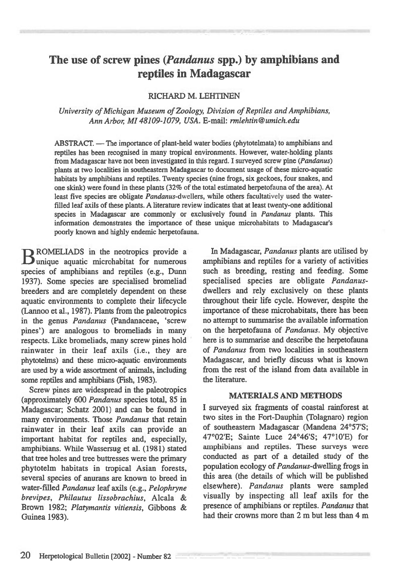# **The use of screw pines** *(Pandanus* **spp.) by amphibians and reptiles in Madagascar**

## RICHARD M. LEHTINEN

*University of Michigan Museum of Zoology, Division of Reptiles and Amphibians, Ann Arbor, MI 48109-1079, USA.* E-mail: *rmlehtin@umich.edu* 

ABSTRACT. — The importance of plant-held water bodies (phytotelmata) to amphibians and reptiles has been recognised in many tropical environments. However, water-holding plants from Madagascar have not been investigated in this regard. I surveyed screw pine *(Pandanus)*  plants at two localities in southeastern Madagascar to document usage of these micro-aquatic habitats by amphibians and reptiles. Twenty species (nine frogs, six geckoes, four snakes, and one skink) were found in these plants (32% of the total estimated herpetofauna of the area). At least five species are obligate *Pandanus-dwellers,* while others facultatively used the waterfilled leaf axils of these plants. A literature review indicates that at least twenty-one additional species in Madagascar are commonly or exclusively found in *Pandanus* plants. This information demonstrates the importance of these unique microhabitats to Madagascar's poorly known and highly endemic herpetofauna.

B ROMELIADS in the neotropics provide a unique aquatic microhabitat for numerous species of amphibians and reptiles (e.g., Dunn 1937). Some species are specialised bromeliad breeders and are completely dependent on these aquatic environments to complete their lifecycle (Lannon et al., 1987). Plants from the paleotropics in the genus *Pandanus* (Pandanaceae, 'screw pines') are analogous to bromeliads in many respects. Like bromeliads, many screw pines hold rainwater in their leaf axils (i.e., they are phytotelms) and these micro-aquatic environments are used by a wide assortment of animals, including some reptiles and amphibians (Fish, 1983).

Screw pines are widespread in the paleotropics (approximately 600 *Pandanus* species total, 85 in Madagascar; Schatz 2001) and can be found in many environments. Those *Pandanus* that retain rainwater in their leaf axils can provide an important habitat for reptiles and, especially, amphibians. While Wassersug et al. (1981) stated that tree holes and tree buttresses were the primary phytotelm habitats in tropical Asian forests, several species of anurans are known to breed in water-filled *Pandanus* leaf axils (e.g., *Pelophryne brevipes, Philautus lissobrachius,* Alcala & Brown 1982; *Platymantis vitiensis,* Gibbons & Guinea 1983).

In Madagascar, *Pandanus* plants are utilised by amphibians and reptiles for a variety of activities such as breeding, resting and feeding. Some specialised species are obligate *Pandanus*dwellers and rely exclusively on these plants throughout their life cycle. However, despite the importance of these microhabitats, there has been no attempt to summarise the available information on the herpetofauna of *Pandanus.* My objective here is to summarise and describe the herpetofauna of *Pandanus* from two localities in southeastern Madagascar, and briefly discuss what is known from the rest of the island from data available in the literature.

#### **MATERIALS AND METHODS**

I surveyed six fragments of coastal rainforest at two sites in the Fort-Dauphin (Tolagnaro) region of southeastern Madagascar (Mandena 24°57'S; 47°02'E; Sainte Luce 24°46'S; 47°10'E) for amphibians and reptiles. These surveys were conducted as part of a detailed study of the population ecology of *Pandanus-dwelling* frogs in this area (the details of which will be published elsewhere). *Pandanus* plants were sampled visually by inspecting all leaf axils for the presence of amphibians or reptiles. *Pandanus* that had their crowns more than 2 m but less than 4 m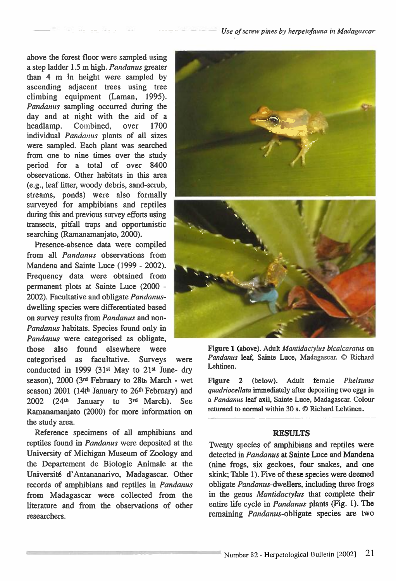above the forest floor were sampled using a step ladder 1.5 m high. *Pandanus* greater than 4 m in height were sampled by ascending adjacent trees using tree climbing equipment (Laman, 1995). *Pandanus* sampling occurred during the day and at night with the aid of a headlamp. Combined, over 1700 individual *Pandanus* plants of all sizes were sampled. Each plant was searched from one to nine times over the study period for a total of over 8400 observations. Other habitats in this area (e.g., leaf litter, woody debris, sand-scrub, streams, ponds) were also formally surveyed for amphibians and reptiles during this and previous survey efforts using transects, pitfall traps and opportunistic searching (Ramanamanjato, 2000).

Presence-absence data were compiled from all *Pandanus* observations from Mandena and Sainte Luce (1999 - 2002). Frequency data were obtained from permanent plots at Sainte Luce (2000 - 2002). Facultative and obligate *Pandanus*dwelling species were differentiated based on survey results from *Pandanus* and non-*Pandanus* habitats. Species found only in *Pandanus* were categorised as obligate, those also found elsewhere were

categorised as facultative. Surveys were conducted in 1999 (31st May to  $21st$  June- dry season), 2000 **(3n1** February to 28th March - wet season) 2001 (14th January to 26th February) and 2002 (24th January to **3rd** March). See Ramanamanjato (2000) for more information on the study area.

Reference specimens of all amphibians and reptiles found in *Pandanus* were deposited at the University of Michigan Museum of Zoology and the Departement de Biologie Animale at the Universite d' Antananarivo, Madagascar. Other records of amphibians and reptiles in *Pandanus*  from Madagascar were collected from the literature and from the observations of other researchers.



Figure 1 (above). Adult *Mantidactyhts bicalcaratus* **on**  *Pandanus leaf, Sainte* **Luce, Madagascar. © Richard Lehtinen.** 

**Figure 2 (below). Adult** *female Phelsuma quadriocellata immediately after* **depositing two eggs in a** *Pandanus leaf* **axil, Sainte Luce, Madagascar. Colour returned to normal within 30 s. © Richard Lehtinen.** 

#### **RESULTS**

Twenty species of amphibians and reptiles were detected in *Pandanus at* Sainte Luce and Mandena (nine frogs, six geckoes, four snakes, and one skink; Table 1). Five of these species were deemed obligate *Pandanus-dwellers,* including three frogs in the genus *Mantidactylus* that complete their entire life cycle in *Pandanus* plants (Fig. 1). The remaining *Pandanus-obligate* species are two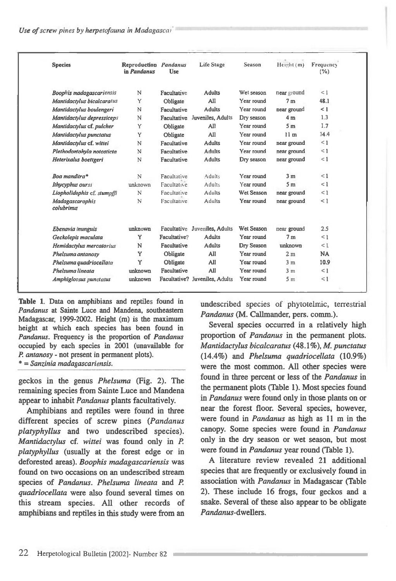| <b>Species</b>                  | Reproduction Pandanus<br>in Pandanus | <b>Use</b>   | <b>Life Stage</b>              | Season     | Height (m)      | Frequency<br>(%) |
|---------------------------------|--------------------------------------|--------------|--------------------------------|------------|-----------------|------------------|
| <b>Boophis madagascariensis</b> | N                                    | Facultative  | <b>Adults</b>                  | Wet season | near ground     | $\leq 1$         |
| Mantidactylus bicalcaratus      | Y                                    | Obligate     | All                            | Year round | 7 <sub>m</sub>  | 48.1             |
| Mantidactylus boulengeri        | N                                    | Facultative  | <b>Adults</b>                  | Year round | near ground     | $\leq 1$         |
| Mantidactylus depressiceps      | N                                    | Facultative  | Juveniles, Adults              | Dry season | 4 <sub>m</sub>  | 1.3              |
| Mantidactylus cf. pulcher       | Y                                    | Obligate     | All                            | Year round | 5 <sub>m</sub>  | 1.7              |
| Mantidactylus punctatus         | Y                                    | Obligate     | All                            | Year round | 11 <sub>m</sub> | 14.4             |
| Mantidactylus cf. wittei        | N                                    | Facultative  | <b>Adults</b>                  | Year round | near ground     | $\leq 1$         |
| Plethodontohyla notosticta      | N                                    | Facultative  | <b>Adults</b>                  | Year round | near ground     | $\leq 1$         |
| Heterixalus boettgeri           | N                                    | Facultative  | <b>Adults</b>                  | Dry season | near ground     | $\leq 1$         |
| Boa manditra*                   | N                                    | Facultative  | Adults                         | Year round | 3 <sub>m</sub>  | $\leq 1$         |
| Ithycyphus oursi                | unknown                              | Facultative  | Adults                         | Year round | 5 <sub>m</sub>  | $\leq 1$         |
| Liopholidophis cf. stumpffi     | N                                    | Facultative  | Adults                         | Wet Season | near ground     | $\leq 1$         |
| Madagascarophis<br>colubrinus   | N                                    | Facultative  | Adults                         | Year round | near ground     | <1               |
| Ebenavia inunguis               | unknown                              | Facultative  | Juveniles, Adults              | Wet Season | near ground     | 2.5              |
| Geckolepis maculata             | Y                                    | Facultative? | <b>Adults</b>                  | Year round | 7 <sub>m</sub>  | $\leq 1$         |
| Hemidactylus mercatorius        | N                                    | Facultative  | <b>Adults</b>                  | Dry Season | unknown         | $\leq 1$         |
| Phelsuma antanosy               | Y                                    | Obligate     | All                            | Year round | 2 <sub>m</sub>  | <b>NA</b>        |
| Phelsuma quadriocellata         | Y                                    | Obligate     | All                            | Year round | 3 <sub>m</sub>  | 10.9             |
| Phelsuma lineata                | unknown                              | Facultative  | All                            | Year round | 3 <sub>m</sub>  | $\leq 1$         |
| Amphiglossus punctatus          | unknown                              |              | Facultative? Juveniles, Adults | Year round | 5 <sub>m</sub>  | $\leq 1$         |

**Table 1.** Data on amphibians and reptiles found *in Pandanus at* Sainte Luce and Mandena, southeastern Madagascar, 1999-2002. Height (m) is the maximum height at which each species has been found in *Pandanus.* Frequency is the proportion of *Pandanus*  occupied by *each* species in 2001 (unavailable for *P. antanosy -* not present in permanent plots). \* = *Sanzinia madagascariensis.* 

geckos in the genus *Phelsuma* (Fig. 2). The remaining species from Sainte Luce and Mandena appear to inhabit *Pandanus* plants facultatively.

Amphibians and reptiles were found in three different species of screw pines *(Pandanus platyphyllus* and two undescribed species). *Mantidactylus cf. wittei* was found only in *P*. *platyphyllus* (usually at the forest edge or in deforested areas). *Boophis madagascariensis* was found on two occasions on an undescribed stream species of *Pandanus. Phelsuma lineata* and *P*. *quadriocellata* were also found several times on this stream species. All other records of amphibians and reptiles in this study were from an undescribed species of phytotelmic, terrestrial *Pandanus* (M. Callmander, pers. comm.).

Several species occurred in a relatively high proportion of *Pandanus* in the permanent plots. *Mantidactylus bicalcaratus* (48.1%), *M. punctatus*  (14.4%) and *Phelsuma quadriocellata* (10.9%) were the most common. All other species were found in three percent or less of the *Pandanus in*  the permanent plots (Table 1). Most species found in *Pandanus* were found only in those plants on or near the forest floor. Several species, however, were found in *Pandanus* as high as 11 m in the canopy. Some species were found *in Pandanus*  only in the dry season or wet season, but most were found in *Pandanus* year round (Table 1).

A literature review revealed 21 additional species that are frequently or exclusively found in association with *Pandanus* in Madagascar (Table 2). These include 16 frogs, four geckos and a snake. Several of these also appear to be obligate *Pandanus-dwellers.*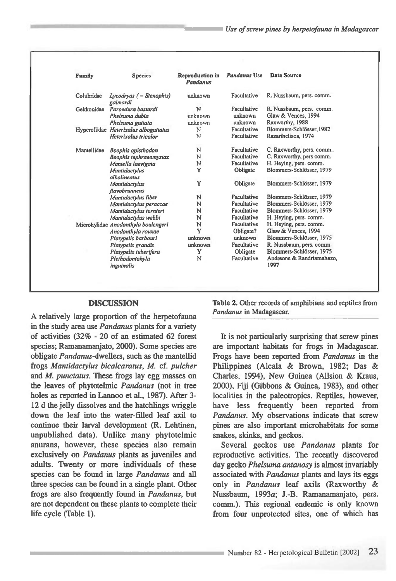| <b>Family</b> | <b>Species</b>                        | <b>Reproduction</b> in<br>Pandanus | <b>Pandanus Use</b> | Data Source               |
|---------------|---------------------------------------|------------------------------------|---------------------|---------------------------|
| Colubridae    | $Lycodyas$ ( = Stenophis)<br>gaimardi | unknown                            | Facultative         | R. Nussbaum, pers. comm.  |
| Gekkonidae    | Paroedura bastardi                    | N                                  | Facultative         | R. Nussbaum, pers. comm.  |
|               | Phelsuma dubia                        | unknown                            | unknown             | Glaw & Vences, 1994       |
|               | Phelsuma guttata                      | unknown                            | unknown             | Raxworthy, 1988           |
|               | Hyperoliidae Heterixalus alboguttatus | N                                  | Facultative         | Blommers-Schlösser, 1982  |
|               | Heterixalus tricolor                  | N                                  | Facultative         | Razarihelisoa, 1974       |
| Mantellidae   | Boophis opisthodon                    | N                                  | Facultative         | C. Raxworthy, pers. comm  |
|               | Boophis tephraeomystax                | N                                  | Facultative         | C. Raxworthy, pers comm.  |
|               | Mantella laevigata                    | N                                  | Facultative         | H. Heying, pers. comm.    |
|               | Mantidactylus<br>albolineatus         | Y                                  | Obligate            | Blommers-Schlösser, 1979  |
|               | <b>Mantidactvlus</b><br>flavobrunneus | Y                                  | Obligate            | Blommers-Schlösser, 1979  |
|               | Mantidactylus liber                   | N                                  | Facultative         | Blommers-Schlösser, 1979  |
|               | Mantidactylus peraccae                | N                                  | Facultative         | Blommers-Schlösser, 1979  |
|               | Mantidactylus tornieri                | N                                  | Facultative         | Blommers-Schlösser, 1979  |
|               | Mantidactvlus webbi                   | N                                  | Facultative         | H. Heying, pers. comm.    |
|               | Microhylidae Anodonthyla boulengeri   | N                                  | Facultative         | H. Heying, pers. comm.    |
|               | Anodonthyla rouxae                    | Y                                  | Obligate?           | Glaw & Vences, 1994       |
|               | Platypelis barbouri                   | unknown                            | unknown             | Blommers-Schlösser, 1975  |
|               | Platypelis grandis                    | unknown                            | Facultative         | R. Nussbaum, pers. comm.  |
|               | Platypelis tuberifera                 | Y                                  | Obligate            | Blommers-Schlösser, 1975  |
|               | Plethodontohvla                       | N                                  | Facultative         | Andreone & Randriamahazo, |
|               | inguinalis                            |                                    |                     | 1997                      |

# **DISCUSSION**

**A relatively large proportion of the herpetofauna in the study area use** *Pandanus* **plants for a variety of activities (32% - 20 of an estimated 62 forest species; Ramanamanjato, 2000). Some species are obligate** *Pandanus-dwellers,* **such as the mantellid frogs** *Mantidactylus bicalcaratus, M.* **cf.** *pulcher*  **and** *M. punctatus.* **These frogs lay egg masses on the leaves of phytotelmic** *Pandanus* **(not in tree**  holes as reported in Lannoo et al., 1987). After 3-**12 d the jelly dissolves and the hatchlings wriggle down the leaf into the water-filled leaf axil to continue their larval development (R. Lehtinen, unpublished data). Unlike many phytotelmic anurans, however, these species also remain exclusively on** *Pandanus* **plants as juveniles and adults. Twenty or more individuals of these species can be found in large** *Pandanus* **and all three species can be found in a single plant. Other frogs are also frequently found** *in Pandanus,* **but are not dependent on these plants to complete their life cycle (Table 1).** 

**Table 2.** Other records of amphibians and reptiles from *Pandanus* in Madagascar.

**It is not particularly surprising that screw pines are important habitats for frogs in Madagascar. Frogs have been reported from** *Pandanus* **in the Philippines (Alcala & Brown, 1982; Das & Charles, 1994), New Guinea (Allsion & Kraus, 2000), Fiji (Gibbons & Guinea, 1983), and other**  localities **in the paleotropics. Reptiles, however, have less frequently been reported from**  *Pandanus.* **My observations indicate that screw pines are also important microhabitats for some snakes, skinks, and geckos.** 

**Several geckos use** *Pandanus* **plants for reproductive activities. The recently discovered day gecko** *Phelsuma antanosy* **is almost invariably associated with** *Pandanus* **plants and lays its eggs only in** *Pandanus* **leaf axils (Raxworthy & Nussbaum, 1993a; J.-B. Ramanamanjato, pers. comm.). This regional endemic is only known from four unprotected sites, one of which has**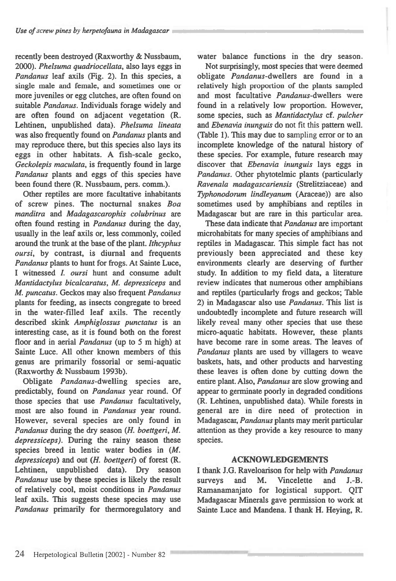**recently been destroyed (Raxworthy & Nussbaum, 2000).** *Phelsuma quadriocellata,* **also lays eggs in**  *Pandanus* **leaf axils (Fig. 2). In this species, a single male and female, and sometimes one or more juveniles or egg clutches, are often found on suitable** *Pandanus.* **Individuals forage widely and are often found on adjacent vegetation (R. Lehtinen, unpublished data).** *Phelsuma lineata*  **was also frequently found on** *Pandanus* **plants and may reproduce there, but this species also lays its eggs in other habitats. A fish-scale gecko,**  *Geckolepis maculata,* **is frequently found in large**  *Pandanus* **plants and eggs of this species have been found there (R. Nussbaum, pers. comm.).** 

**Other reptiles are more facultative inhabitants of screw pines. The nocturnal snakes** *Boa manditra* **and** *Madagascarophis colubrinus* **are often found resting in** *Pandanus* **during the day, usually in the leaf axils or, less commonly, coiled around the trunk at the base of the plant.** *Ithcyphus oursi,* **by contrast, is diurnal and frequents**  *Pandanus* **plants to hunt for frogs. At Sainte Luce, I witnessed** *L oursi* **hunt and consume adult**  *Mantidactylus bicalcaratus, M. depressiceps* **and**  *M. puncatus.* **Geckos may also frequent** *Pandanus*  **plants for feeding, as insects congregate to breed in the water-filled leaf axils. The recently described skink** *Arnphiglossus punctatus is* **an interesting case, as it is found both on the forest floor and in** *aerial Pandanus* **(up to 5 m high) at Sainte Luce. All other known members of this genus are primarily fossorial or semi-aquatic (Raxworthy & Nussbaum 1993b).** 

**Obligate** *Pandanus-dwelling* **species are, predictably, found on** *Pandanus* **year round. Of those species that use** *Pandanus* **facultatively, most are also found in** *Pandanus* **year round. However, several species are only found** *in Pandanus* **during the dry season** *(H. boettgeri, M. depressiceps).* **During the rainy season these species breed in lentic water bodies in** *(M. depressiceps)* **and out** *(H. boettgeri)* **of forest (R. Lehtinen, unpublished data). Dry season**  *Pandanus* **use by these species is likely the result of relatively cool, moist conditions in** *Pandanus*  **leaf axils. This suggests these species may use**  *Pandanus* **primarily for thermoregulatory and**  **water balance functions in the dry season.** 

**Not surprisingly, most species that were deemed obligate** *Pandanus-dwellers* **are found in a relatively high proportion of the plants sampled and most facultative** *Pandanus-dwellers* **were found in a relatively low proportion. However, some species, such as** *Mantidactylus* **cf.** *pulcher*  **and** *Ebenavia inunguis* **do not fit this pattern well. (Table 1). This may due to** sampling error or **to an incomplete knowledge of the natural history of these species. For example, future research may discover that** *Ebenavia inunguis* **lays eggs in**  *Pandanus.* **Other phytotelmic plants (particularly**  *Ravenala madagascariensis* **(Strelitziaceae) and**  *Typhonodorum lindleyanum* **(Araceae)) are also sometimes used by amphibians and reptiles in Madagascar but are rare in this particular area.** 

**These data indicate that** *Pandanus are* **important microhabitats for many species of amphibians and reptiles in Madagascar. This simple fact has not previously been appreciated and these key environments clearly are deserving of further study. In addition to my field data, a literature review indicates that numerous other amphibians and reptiles (particularly frogs and geckos; Table 2) in Madagascar also use** *Pandanus.* **This list is undoubtedly incomplete and future research will likely reveal many other species that use these micro-aquatic habitats. However, these plants have become rare in some areas. The leaves of**  *Pandanus* **plants are used by villagers to weave baskets, hats, and other products and harvesting these leaves is often done by cutting down the entire plant. Also,** *Pandanus are* **slow growing and appear to germinate poorly in degraded conditions (R. Lehtinen, unpublished data). While forests in general are in dire need of protection in Madagascar,** *Pandanus* **plants may merit particular attention as they provide a key resource to many species.** 

# **ACKNOWLEDGEMENTS**

**I thank J.G. Raveloarison for help with** *Pandanus*  **surveys and M. Vincelette and J.-B. Ramanamanjato for logistical support. QIT Madagascar Minerals gave permission to work at Sainte Luce and Mandena. I thank H. Heying, R.**